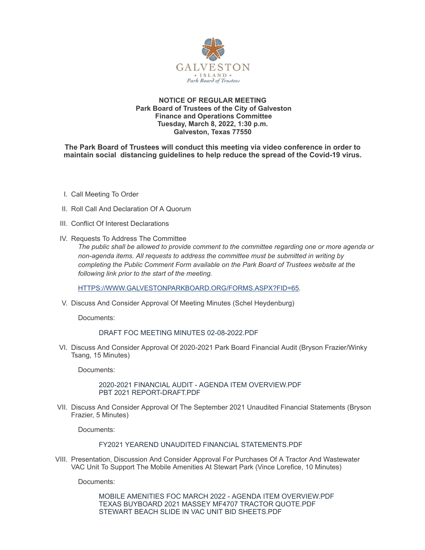

### **NOTICE OF REGULAR MEETING Park Board of Trustees of the City of Galveston Finance and Operations Committee Tuesday, March 8, 2022, 1:30 p.m. Galveston, Texas 77550**

### **The Park Board of Trustees will conduct this meeting via video conference in order to maintain social distancing guidelines to help reduce the spread of the Covid-19 virus.**

- I. Call Meeting To Order
- II. Roll Call And Declaration Of A Quorum
- III. Conflict Of Interest Declarations
- IV. Requests To Address The Committee

*The public shall be allowed to provide comment to the committee regarding one or more agenda or non-agenda items. All requests to address the committee must be submitted in writing by completing the Public Comment Form available on the Park Board of Trustees website at the following link prior to the start of the meeting.*

[HTTPS://WWW.GALVESTONPARKBOARD.ORG/FORMS.ASPX?FID=65](https://www.galvestonparkboard.org/forms.aspx?FID=65)*.*

V. Discuss And Consider Approval Of Meeting Minutes (Schel Heydenburg)

Documents:

### DRAFT FOC MEETING MINUTES [02-08-2022.PDF](https://www.galvestonparkboard.org/AgendaCenter/ViewFile/Item/7466?fileID=11083)

VI. Discuss And Consider Approval Of 2020-2021 Park Board Financial Audit (Bryson Frazier/Winky Tsang, 15 Minutes)

Documents:

2020-2021 FINANCIAL AUDIT - AGENDA ITEM [OVERVIEW.PDF](https://www.galvestonparkboard.org/AgendaCenter/ViewFile/Item/7420?fileID=10918) PBT 2021 [REPORT-DRAFT.PDF](https://www.galvestonparkboard.org/AgendaCenter/ViewFile/Item/7420?fileID=11102)

VII. Discuss And Consider Approval Of The September 2021 Unaudited Financial Statements (Bryson Frazier, 5 Minutes)

Documents:

## FY2021 YEAREND UNAUDITED FINANCIAL [STATEMENTS.PDF](https://www.galvestonparkboard.org/AgendaCenter/ViewFile/Item/7421?fileID=11101)

VIII. Presentation, Discussion And Consider Approval For Purchases Of A Tractor And Wastewater VAC Unit To Support The Mobile Amenities At Stewart Park (Vince Lorefice, 10 Minutes)

Documents:

MOBILE AMENITIES FOC MARCH 2022 - AGENDA ITEM [OVERVIEW.PDF](https://www.galvestonparkboard.org/AgendaCenter/ViewFile/Item/7425?fileID=10934) TEXAS BUYBOARD 2021 MASSEY MF4707 TRACTOR [QUOTE.PDF](https://www.galvestonparkboard.org/AgendaCenter/ViewFile/Item/7425?fileID=10935) STEWART BEACH SLIDE IN VAC UNIT BID [SHEETS.PDF](https://www.galvestonparkboard.org/AgendaCenter/ViewFile/Item/7425?fileID=10936)